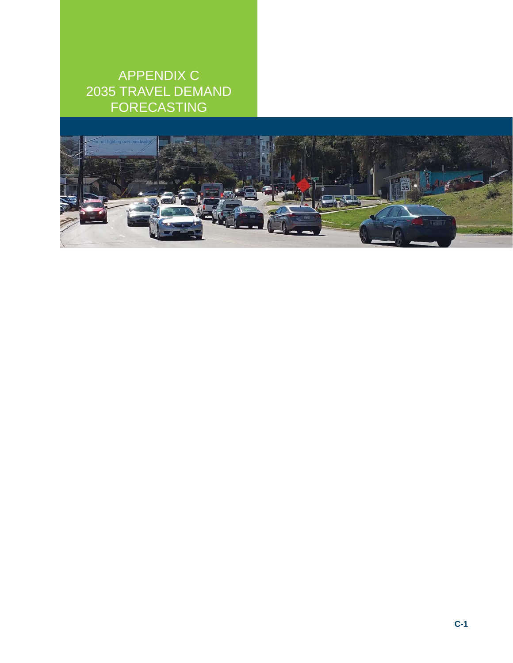### APPENDIX C 2035 TRAVEL DEMAND FORECASTING

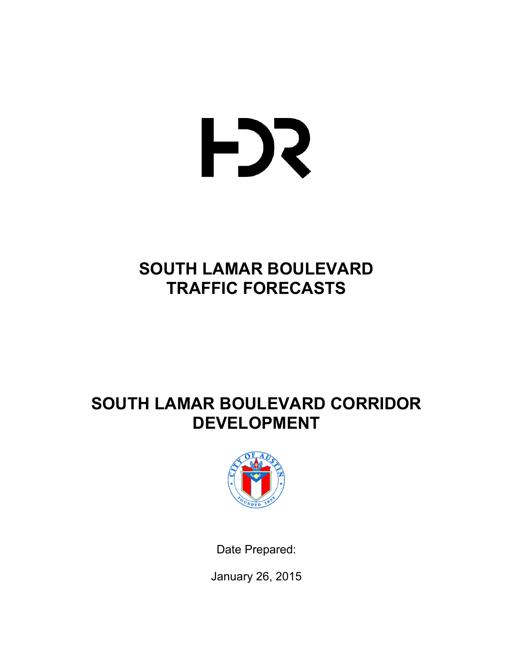# HJ2

## **SOUTH LAMAR BOULEVARD TRAFFIC FORECASTS**

## **SOUTH LAMAR BOULEVARD CORRIDOR DEVELOPMENT**



Date Prepared:

January 26, 2015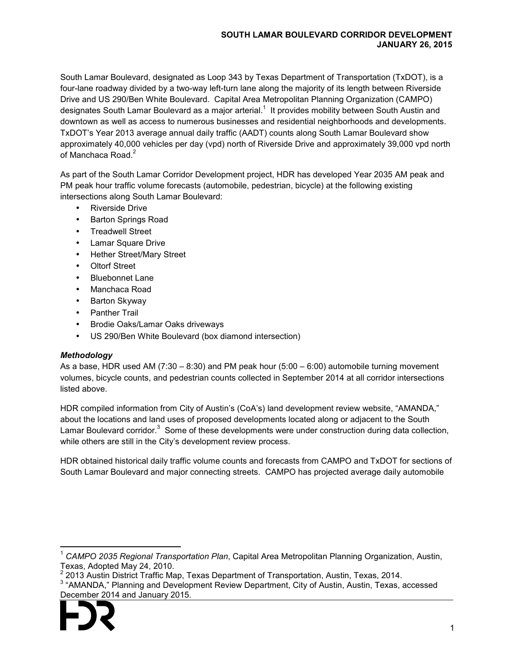#### **SOUTH LAMAR BOULEVARD CORRIDOR DEVELOPMENT JANUARY 26, 2015**

South Lamar Boulevard, designated as Loop 343 by Texas Department of Transportation (TxDOT), is a four-lane roadway divided by a two-way left-turn lane along the majority of its length between Riverside Drive and US 290/Ben White Boulevard. Capital Area Metropolitan Planning Organization (CAMPO) designates South Lamar Boulevard as a major arterial.<sup>1</sup> It provides mobility between South Austin and downtown as well as access to numerous businesses and residential neighborhoods and developments. TxDOT's Year 2013 average annual daily traffic (AADT) counts along South Lamar Boulevard show approximately 40,000 vehicles per day (vpd) north of Riverside Drive and approximately 39,000 vpd north of Manchaca Road $^2$ 

As part of the South Lamar Corridor Development project, HDR has developed Year 2035 AM peak and PM peak hour traffic volume forecasts (automobile, pedestrian, bicycle) at the following existing intersections along South Lamar Boulevard:

- Riverside Drive
- Barton Springs Road
- Treadwell Street
- Lamar Square Drive
- Hether Street/Mary Street
- Oltorf Street
- Bluebonnet Lane
- Manchaca Road
- Barton Skyway
- Panther Trail
- Brodie Oaks/Lamar Oaks driveways
- US 290/Ben White Boulevard (box diamond intersection)

#### *Methodology*

As a base, HDR used AM  $(7:30 - 8:30)$  and PM peak hour (5:00 – 6:00) automobile turning movement volumes, bicycle counts, and pedestrian counts collected in September 2014 at all corridor intersections listed above.

HDR compiled information from City of Austin's (CoA's) land development review website, "AMANDA," about the locations and land uses of proposed developments located along or adjacent to the South Lamar Boulevard corridor.<sup>3</sup> Some of these developments were under construction during data collection, while others are still in the City's development review process.

HDR obtained historical daily traffic volume counts and forecasts from CAMPO and TxDOT for sections of South Lamar Boulevard and major connecting streets. CAMPO has projected average daily automobile

<sup>&</sup>lt;sup>3</sup> "AMANDA," Planning and Development Review Department, City of Austin, Austin, Texas, accessed December 2014 and January 2015.



 $\overline{a}$ 

<sup>1</sup> *CAMPO 2035 Regional Transportation Plan*, Capital Area Metropolitan Planning Organization, Austin, Texas, Adopted May 24, 2010.

<sup>2</sup> 2013 Austin District Traffic Map, Texas Department of Transportation, Austin, Texas, 2014.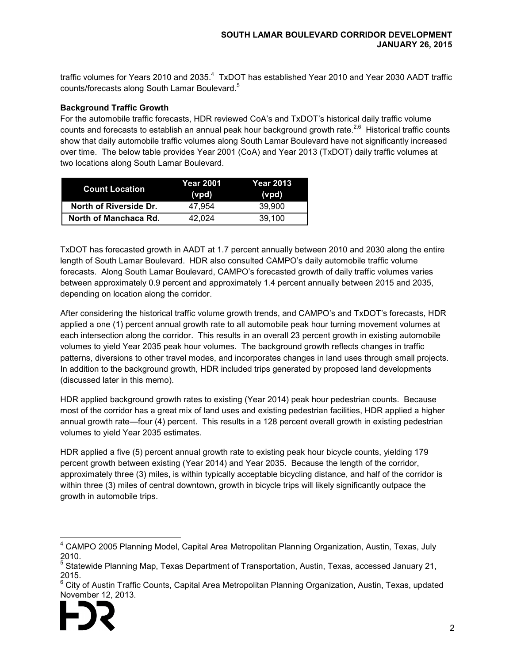traffic volumes for Years 2010 and 2035.<sup>4</sup> TxDOT has established Year 2010 and Year 2030 AADT traffic counts/forecasts along South Lamar Boulevard.<sup>5</sup>

#### **Background Traffic Growth**

For the automobile traffic forecasts, HDR reviewed CoA's and TxDOT's historical daily traffic volume counts and forecasts to establish an annual peak hour background growth rate.<sup>2,6</sup> Historical traffic counts show that daily automobile traffic volumes along South Lamar Boulevard have not significantly increased over time. The below table provides Year 2001 (CoA) and Year 2013 (TxDOT) daily traffic volumes at two locations along South Lamar Boulevard.

| <b>Count Location</b>  | Year 2001<br>(vpd) | Year 2013<br>(vpd) |  |  |  |
|------------------------|--------------------|--------------------|--|--|--|
| North of Riverside Dr. | 47.954             | 39,900             |  |  |  |
| North of Manchaca Rd.  | 42.024             | 39.100             |  |  |  |

TxDOT has forecasted growth in AADT at 1.7 percent annually between 2010 and 2030 along the entire length of South Lamar Boulevard. HDR also consulted CAMPO's daily automobile traffic volume forecasts. Along South Lamar Boulevard, CAMPO's forecasted growth of daily traffic volumes varies between approximately 0.9 percent and approximately 1.4 percent annually between 2015 and 2035, depending on location along the corridor.

After considering the historical traffic volume growth trends, and CAMPO's and TxDOT's forecasts, HDR applied a one (1) percent annual growth rate to all automobile peak hour turning movement volumes at each intersection along the corridor. This results in an overall 23 percent growth in existing automobile volumes to yield Year 2035 peak hour volumes. The background growth reflects changes in traffic patterns, diversions to other travel modes, and incorporates changes in land uses through small projects. In addition to the background growth, HDR included trips generated by proposed land developments (discussed later in this memo).

HDR applied background growth rates to existing (Year 2014) peak hour pedestrian counts. Because most of the corridor has a great mix of land uses and existing pedestrian facilities, HDR applied a higher annual growth rate—four (4) percent. This results in a 128 percent overall growth in existing pedestrian volumes to yield Year 2035 estimates.

HDR applied a five (5) percent annual growth rate to existing peak hour bicycle counts, yielding 179 percent growth between existing (Year 2014) and Year 2035. Because the length of the corridor, approximately three (3) miles, is within typically acceptable bicycling distance, and half of the corridor is within three (3) miles of central downtown, growth in bicycle trips will likely significantly outpace the growth in automobile trips.

<sup>6</sup> City of Austin Traffic Counts, Capital Area Metropolitan Planning Organization, Austin, Texas, updated November 12, 2013.



 $\overline{a}$ 

<sup>&</sup>lt;sup>4</sup> CAMPO 2005 Planning Model, Capital Area Metropolitan Planning Organization, Austin, Texas, July 2010.

<sup>&</sup>lt;sup>5</sup> Statewide Planning Map, Texas Department of Transportation, Austin, Texas, accessed January 21, 2015.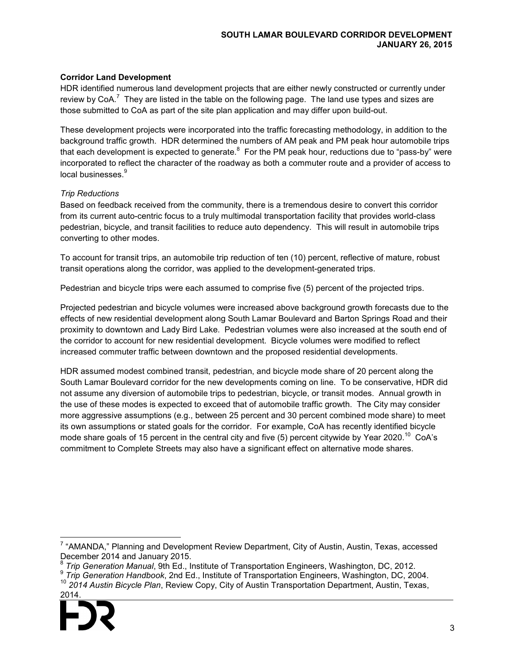#### **Corridor Land Development**

HDR identified numerous land development projects that are either newly constructed or currently under review by CoA.<sup>7</sup> They are listed in the table on the following page. The land use types and sizes are those submitted to CoA as part of the site plan application and may differ upon build-out.

These development projects were incorporated into the traffic forecasting methodology, in addition to the background traffic growth. HDR determined the numbers of AM peak and PM peak hour automobile trips that each development is expected to generate.<sup>8</sup> For the PM peak hour, reductions due to "pass-by" were incorporated to reflect the character of the roadway as both a commuter route and a provider of access to local businesses.<sup>9</sup>

#### *Trip Reductions*

Based on feedback received from the community, there is a tremendous desire to convert this corridor from its current auto-centric focus to a truly multimodal transportation facility that provides world-class pedestrian, bicycle, and transit facilities to reduce auto dependency. This will result in automobile trips converting to other modes.

To account for transit trips, an automobile trip reduction of ten (10) percent, reflective of mature, robust transit operations along the corridor, was applied to the development-generated trips.

Pedestrian and bicycle trips were each assumed to comprise five (5) percent of the projected trips.

Projected pedestrian and bicycle volumes were increased above background growth forecasts due to the effects of new residential development along South Lamar Boulevard and Barton Springs Road and their proximity to downtown and Lady Bird Lake. Pedestrian volumes were also increased at the south end of the corridor to account for new residential development. Bicycle volumes were modified to reflect increased commuter traffic between downtown and the proposed residential developments.

HDR assumed modest combined transit, pedestrian, and bicycle mode share of 20 percent along the South Lamar Boulevard corridor for the new developments coming on line. To be conservative, HDR did not assume any diversion of automobile trips to pedestrian, bicycle, or transit modes. Annual growth in the use of these modes is expected to exceed that of automobile traffic growth. The City may consider more aggressive assumptions (e.g., between 25 percent and 30 percent combined mode share) to meet its own assumptions or stated goals for the corridor. For example, CoA has recently identified bicycle mode share goals of 15 percent in the central city and five (5) percent citywide by Year 2020.<sup>10</sup> CoA's commitment to Complete Streets may also have a significant effect on alternative mode shares.

<sup>10</sup> *2014 Austin Bicycle Plan*, Review Copy, City of Austin Transportation Department, Austin, Texas, 2014.



 $\overline{a}$ 

<sup>&</sup>lt;sup>7</sup> "AMANDA," Planning and Development Review Department, City of Austin, Austin, Texas, accessed December 2014 and January 2015.<br><sup>8</sup> Trip Conoration Manual, 9th Ed., In

*Trip Generation Manual*, 9th Ed., Institute of Transportation Engineers, Washington, DC, 2012.

<sup>9</sup> *Trip Generation Handbook*, 2nd Ed., Institute of Transportation Engineers, Washington, DC, 2004.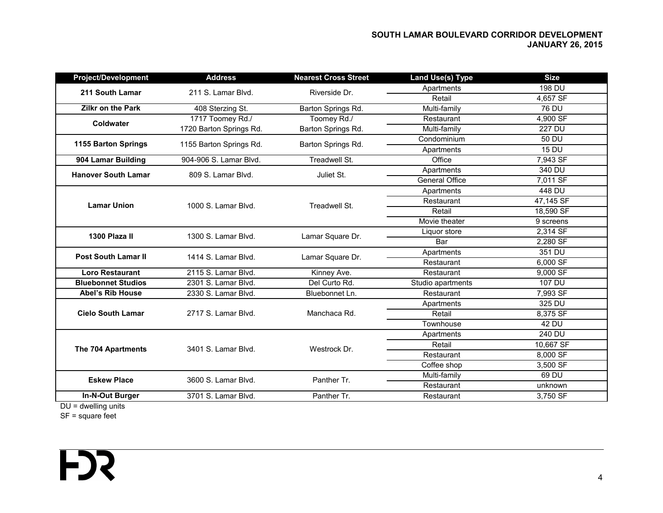#### **SOUTH LAMAR BOULEVARD CORRIDOR DEVELOPMENT JANUARY 26, 2015**

| <b>Project/Development</b> | <b>Address</b>                     | <b>Nearest Cross Street</b> | <b>Land Use(s) Type</b> | <b>Size</b>   |
|----------------------------|------------------------------------|-----------------------------|-------------------------|---------------|
| 211 South Lamar            | 211 S. Lamar Blvd.                 | Riverside Dr.               | Apartments              | 198 DU        |
|                            |                                    |                             | Retail                  | 4,657 SF      |
| <b>Zilkr on the Park</b>   | 408 Sterzing St.                   | Barton Springs Rd.          | Multi-family            | 76 DU         |
| <b>Coldwater</b>           | 1717 Toomey Rd./                   | Toomey Rd./                 | Restaurant              | 4,900 SF      |
|                            | 1720 Barton Springs Rd.            | Barton Springs Rd.          | Multi-family            | <b>227 DU</b> |
| 1155 Barton Springs        | 1155 Barton Springs Rd.            | Barton Springs Rd.          | Condominium             | 50 DU         |
|                            |                                    |                             | Apartments              | <b>15 DU</b>  |
| 904 Lamar Building         | 904-906 S. Lamar Blvd.             | Treadwell St.               | Office                  | 7,943 SF      |
| <b>Hanover South Lamar</b> | 809 S. Lamar Blvd.                 | Juliet St.                  | Apartments              | 340 DU        |
|                            |                                    |                             | <b>General Office</b>   | 7,011 SF      |
| <b>Lamar Union</b>         |                                    |                             | Apartments              | 448 DU        |
|                            | 1000 S. Lamar Blvd.                | Treadwell St.               | Restaurant              | 47,145 SF     |
|                            |                                    |                             | Retail                  | 18,590 SF     |
|                            |                                    |                             | Movie theater           | 9 screens     |
| 1300 Plaza II              | 1300 S. Lamar Blvd.                | Lamar Square Dr.            | Liquor store            | 2,314 SF      |
|                            |                                    |                             | Bar                     | 2.280 SF      |
| <b>Post South Lamar II</b> | 1414 S. Lamar Blvd.                | Lamar Square Dr.            | Apartments              | 351 DU        |
|                            |                                    |                             | Restaurant              | 6,000 SF      |
| <b>Loro Restaurant</b>     | 2115 S. Lamar Blvd.                | Kinney Ave.                 | Restaurant              | 9,000 SF      |
| <b>Bluebonnet Studios</b>  | 2301 S. Lamar Blvd.                | Del Curto Rd.               | Studio apartments       | 107 DU        |
| <b>Abel's Rib House</b>    | 2330 S. Lamar Blvd.                | Bluebonnet Ln.              | Restaurant              | 7,993 SF      |
| <b>Cielo South Lamar</b>   |                                    |                             | Apartments              | 325 DU        |
|                            | 2717 S. Lamar Blvd.                | Manchaca Rd.                | Retail                  | 8,375 SF      |
|                            |                                    |                             | Townhouse               | 42 DU         |
| The 704 Apartments         |                                    |                             | Apartments              | 240 DU        |
|                            | 3401 S. Lamar Blvd.                | Westrock Dr.                | Retail                  | 10,667 SF     |
|                            |                                    |                             | Restaurant              | 8,000 SF      |
|                            |                                    |                             | Coffee shop             | 3,500 SF      |
| <b>Eskew Place</b>         | 3600 S. Lamar Blvd.                | Panther Tr.                 | Multi-family            | 69 DU         |
|                            |                                    |                             | Restaurant              | unknown       |
| In-N-Out Burger            | 3701 S. Lamar Blvd.<br>Panther Tr. |                             | Restaurant              | 3,750 SF      |
|                            |                                    |                             |                         |               |

DU = dwelling units

SF = square feet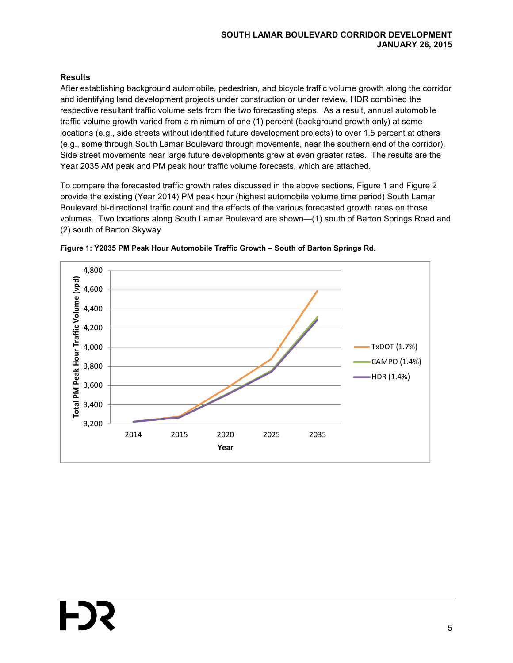#### **SOUTH LAMAR BOULEVARD CORRIDOR DEVELOPMENT JANUARY 26, 2015**

#### **Results**

After establishing background automobile, pedestrian, and bicycle traffic volume growth along the corridor and identifying land development projects under construction or under review, HDR combined the respective resultant traffic volume sets from the two forecasting steps. As a result, annual automobile traffic volume growth varied from a minimum of one (1) percent (background growth only) at some locations (e.g., side streets without identified future development projects) to over 1.5 percent at others (e.g., some through South Lamar Boulevard through movements, near the southern end of the corridor). Side street movements near large future developments grew at even greater rates. The results are the Year 2035 AM peak and PM peak hour traffic volume forecasts, which are attached.

To compare the forecasted traffic growth rates discussed in the above sections, Figure 1 and Figure 2 provide the existing (Year 2014) PM peak hour (highest automobile volume time period) South Lamar Boulevard bi-directional traffic count and the effects of the various forecasted growth rates on those volumes. Two locations along South Lamar Boulevard are shown—(1) south of Barton Springs Road and (2) south of Barton Skyway.



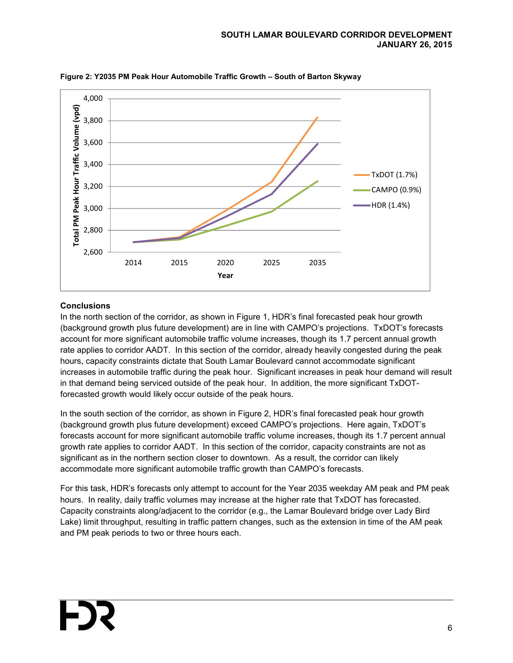

**Figure 2: Y2035 PM Peak Hour Automobile Traffic Growth – South of Barton Skyway** 

#### **Conclusions**

In the north section of the corridor, as shown in Figure 1, HDR's final forecasted peak hour growth (background growth plus future development) are in line with CAMPO's projections. TxDOT's forecasts account for more significant automobile traffic volume increases, though its 1.7 percent annual growth rate applies to corridor AADT. In this section of the corridor, already heavily congested during the peak hours, capacity constraints dictate that South Lamar Boulevard cannot accommodate significant increases in automobile traffic during the peak hour. Significant increases in peak hour demand will result in that demand being serviced outside of the peak hour. In addition, the more significant TxDOTforecasted growth would likely occur outside of the peak hours.

In the south section of the corridor, as shown in Figure 2, HDR's final forecasted peak hour growth (background growth plus future development) exceed CAMPO's projections. Here again, TxDOT's forecasts account for more significant automobile traffic volume increases, though its 1.7 percent annual growth rate applies to corridor AADT. In this section of the corridor, capacity constraints are not as significant as in the northern section closer to downtown. As a result, the corridor can likely accommodate more significant automobile traffic growth than CAMPO's forecasts.

For this task, HDR's forecasts only attempt to account for the Year 2035 weekday AM peak and PM peak hours. In reality, daily traffic volumes may increase at the higher rate that TxDOT has forecasted. Capacity constraints along/adjacent to the corridor (e.g., the Lamar Boulevard bridge over Lady Bird Lake) limit throughput, resulting in traffic pattern changes, such as the extension in time of the AM peak and PM peak periods to two or three hours each.

 $\sim$  6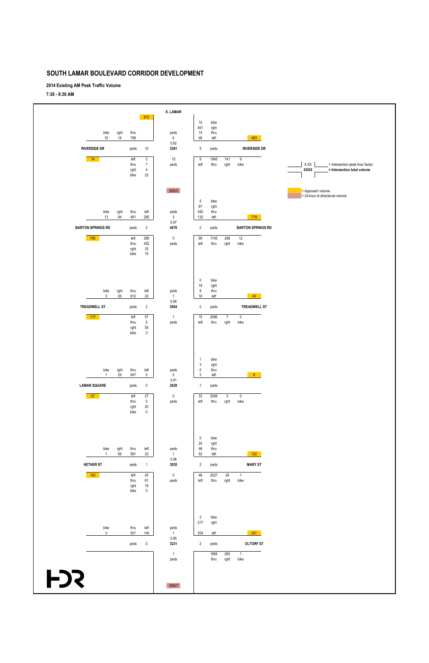**2014 Existing AM Peak Traffic Volume**

**7:30 - 8:30 AM**

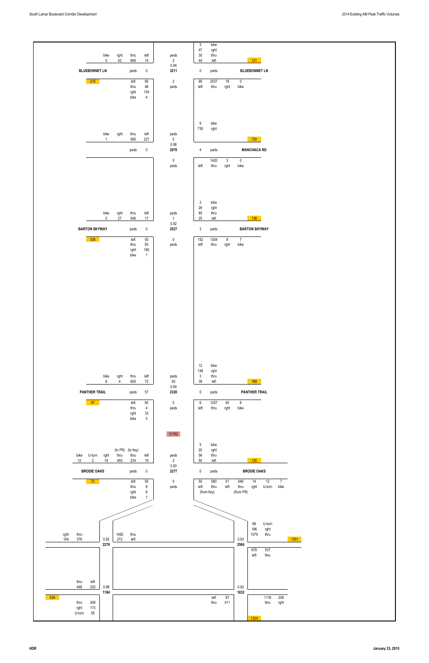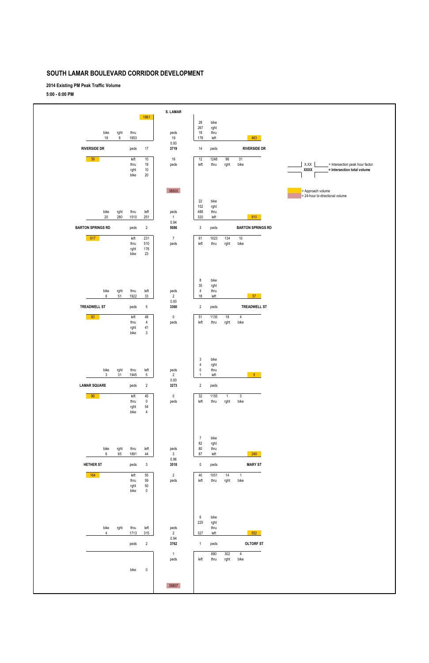**2014 Existing PM Peak Traffic Volume**

**5:00 - 6:00 PM**



|                |      | ngin.<br>bike | ັບບ<br>$\pmb{0}$ |                |              |      |      |           |
|----------------|------|---------------|------------------|----------------|--------------|------|------|-----------|
|                |      |               |                  |                |              |      |      |           |
|                |      |               |                  |                |              |      |      |           |
|                |      |               |                  |                | 6            | bike |      |           |
|                |      |               |                  |                | 225          | rght |      |           |
| bike           | rght | thru          | left             | peds           |              | thru |      |           |
| $\overline{4}$ |      | 1713          | 315              | $\overline{2}$ | 327          | left |      | 552       |
|                |      |               |                  | 0.94           |              |      |      |           |
|                |      | peds          | $\overline{2}$   | 3762           | $\mathbf{1}$ | peds |      | OLTORF ST |
|                |      |               |                  | $\overline{1}$ |              | 880  | 302  | 4         |
|                |      |               |                  | peds           | left         | thru | rght | bike      |
|                |      |               |                  |                |              |      |      |           |
|                |      | bike          | $\mathbf 0$      |                |              |      |      |           |
|                |      |               |                  |                |              |      |      |           |
|                |      |               |                  | 35807          |              |      |      |           |
|                |      |               |                  |                |              |      |      |           |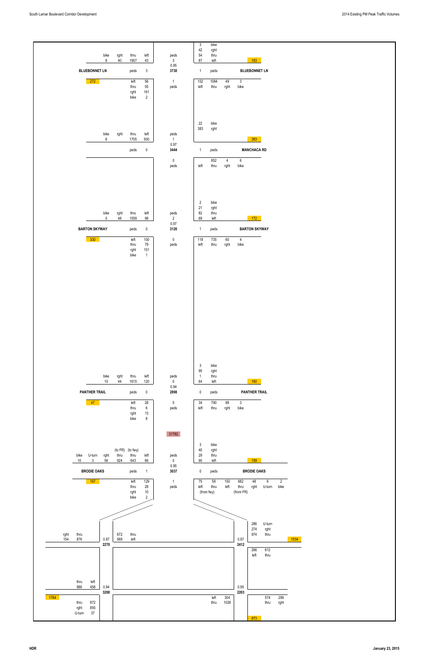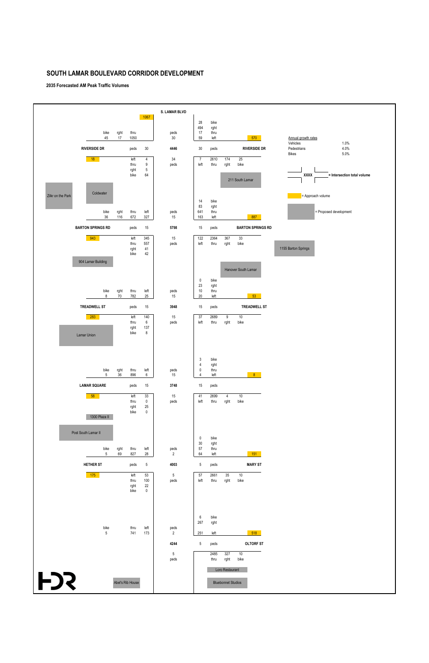**2035 Forecasted AM Peak Traffic Volumes**

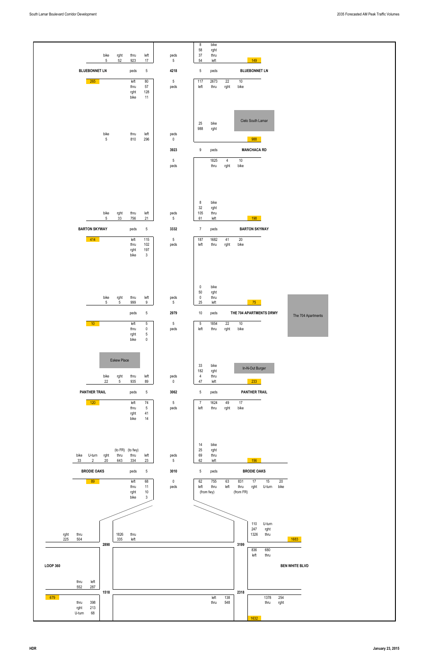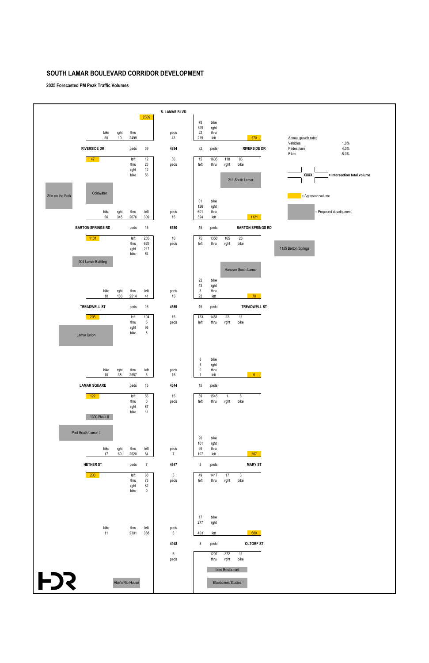**2035 Forecasted PM Peak Traffic Volumes**